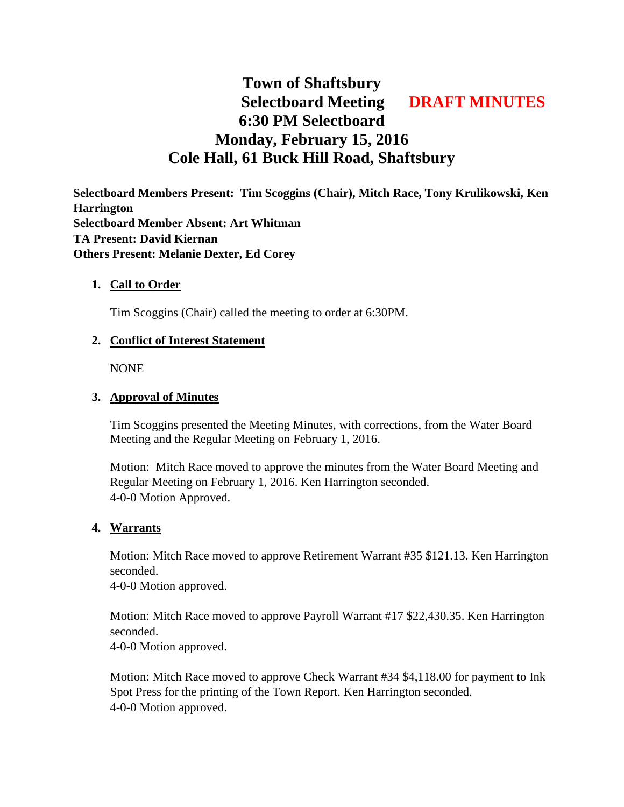# **Town of Shaftsbury Selectboard Meeting DRAFT MINUTES 6:30 PM Selectboard Monday, February 15, 2016 Cole Hall, 61 Buck Hill Road, Shaftsbury**

**Selectboard Members Present: Tim Scoggins (Chair), Mitch Race, Tony Krulikowski, Ken Harrington Selectboard Member Absent: Art Whitman TA Present: David Kiernan Others Present: Melanie Dexter, Ed Corey**

#### **1. Call to Order**

Tim Scoggins (Chair) called the meeting to order at 6:30PM.

#### **2. Conflict of Interest Statement**

NONE

#### **3. Approval of Minutes**

Tim Scoggins presented the Meeting Minutes, with corrections, from the Water Board Meeting and the Regular Meeting on February 1, 2016.

Motion: Mitch Race moved to approve the minutes from the Water Board Meeting and Regular Meeting on February 1, 2016. Ken Harrington seconded. 4-0-0 Motion Approved.

#### **4. Warrants**

Motion: Mitch Race moved to approve Retirement Warrant #35 \$121.13. Ken Harrington seconded.

4-0-0 Motion approved.

Motion: Mitch Race moved to approve Payroll Warrant #17 \$22,430.35. Ken Harrington seconded.

4-0-0 Motion approved.

Motion: Mitch Race moved to approve Check Warrant #34 \$4,118.00 for payment to Ink Spot Press for the printing of the Town Report. Ken Harrington seconded. 4-0-0 Motion approved.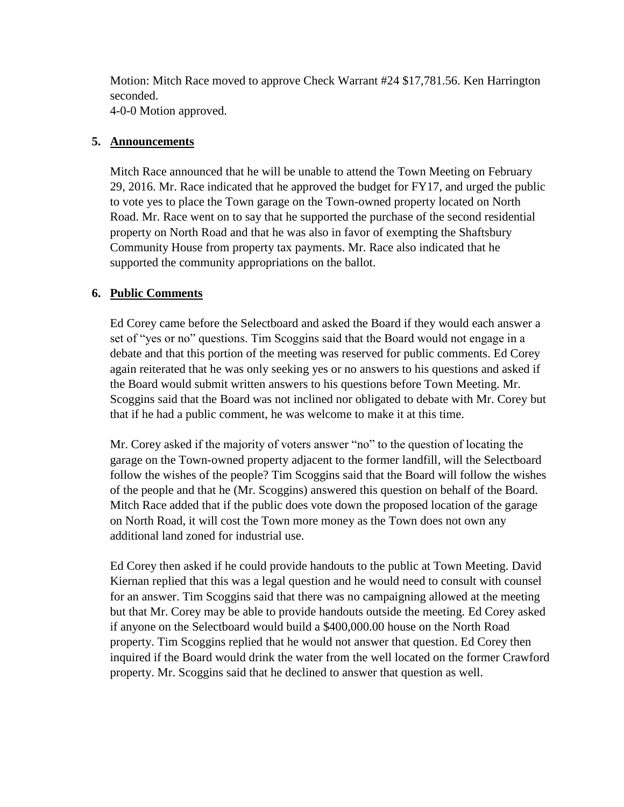Motion: Mitch Race moved to approve Check Warrant #24 \$17,781.56. Ken Harrington seconded.

4-0-0 Motion approved.

## **5. Announcements**

Mitch Race announced that he will be unable to attend the Town Meeting on February 29, 2016. Mr. Race indicated that he approved the budget for FY17, and urged the public to vote yes to place the Town garage on the Town-owned property located on North Road. Mr. Race went on to say that he supported the purchase of the second residential property on North Road and that he was also in favor of exempting the Shaftsbury Community House from property tax payments. Mr. Race also indicated that he supported the community appropriations on the ballot.

# **6. Public Comments**

Ed Corey came before the Selectboard and asked the Board if they would each answer a set of "yes or no" questions. Tim Scoggins said that the Board would not engage in a debate and that this portion of the meeting was reserved for public comments. Ed Corey again reiterated that he was only seeking yes or no answers to his questions and asked if the Board would submit written answers to his questions before Town Meeting. Mr. Scoggins said that the Board was not inclined nor obligated to debate with Mr. Corey but that if he had a public comment, he was welcome to make it at this time.

Mr. Corey asked if the majority of voters answer "no" to the question of locating the garage on the Town-owned property adjacent to the former landfill, will the Selectboard follow the wishes of the people? Tim Scoggins said that the Board will follow the wishes of the people and that he (Mr. Scoggins) answered this question on behalf of the Board. Mitch Race added that if the public does vote down the proposed location of the garage on North Road, it will cost the Town more money as the Town does not own any additional land zoned for industrial use.

Ed Corey then asked if he could provide handouts to the public at Town Meeting. David Kiernan replied that this was a legal question and he would need to consult with counsel for an answer. Tim Scoggins said that there was no campaigning allowed at the meeting but that Mr. Corey may be able to provide handouts outside the meeting. Ed Corey asked if anyone on the Selectboard would build a \$400,000.00 house on the North Road property. Tim Scoggins replied that he would not answer that question. Ed Corey then inquired if the Board would drink the water from the well located on the former Crawford property. Mr. Scoggins said that he declined to answer that question as well.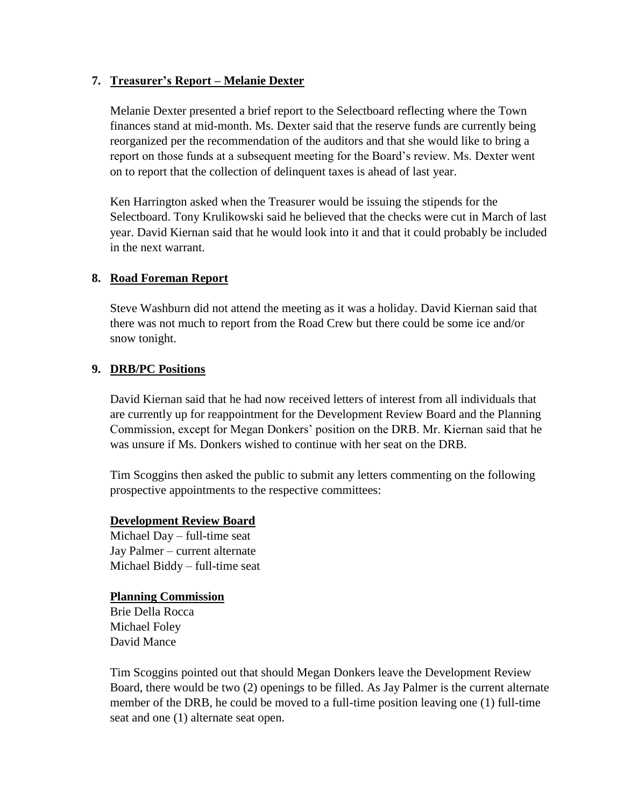## **7. Treasurer's Report – Melanie Dexter**

Melanie Dexter presented a brief report to the Selectboard reflecting where the Town finances stand at mid-month. Ms. Dexter said that the reserve funds are currently being reorganized per the recommendation of the auditors and that she would like to bring a report on those funds at a subsequent meeting for the Board's review. Ms. Dexter went on to report that the collection of delinquent taxes is ahead of last year.

Ken Harrington asked when the Treasurer would be issuing the stipends for the Selectboard. Tony Krulikowski said he believed that the checks were cut in March of last year. David Kiernan said that he would look into it and that it could probably be included in the next warrant.

#### **8. Road Foreman Report**

Steve Washburn did not attend the meeting as it was a holiday. David Kiernan said that there was not much to report from the Road Crew but there could be some ice and/or snow tonight.

#### **9. DRB/PC Positions**

David Kiernan said that he had now received letters of interest from all individuals that are currently up for reappointment for the Development Review Board and the Planning Commission, except for Megan Donkers' position on the DRB. Mr. Kiernan said that he was unsure if Ms. Donkers wished to continue with her seat on the DRB.

Tim Scoggins then asked the public to submit any letters commenting on the following prospective appointments to the respective committees:

#### **Development Review Board**

Michael Day – full-time seat Jay Palmer – current alternate Michael Biddy – full-time seat

#### **Planning Commission**

Brie Della Rocca Michael Foley David Mance

Tim Scoggins pointed out that should Megan Donkers leave the Development Review Board, there would be two (2) openings to be filled. As Jay Palmer is the current alternate member of the DRB, he could be moved to a full-time position leaving one (1) full-time seat and one (1) alternate seat open.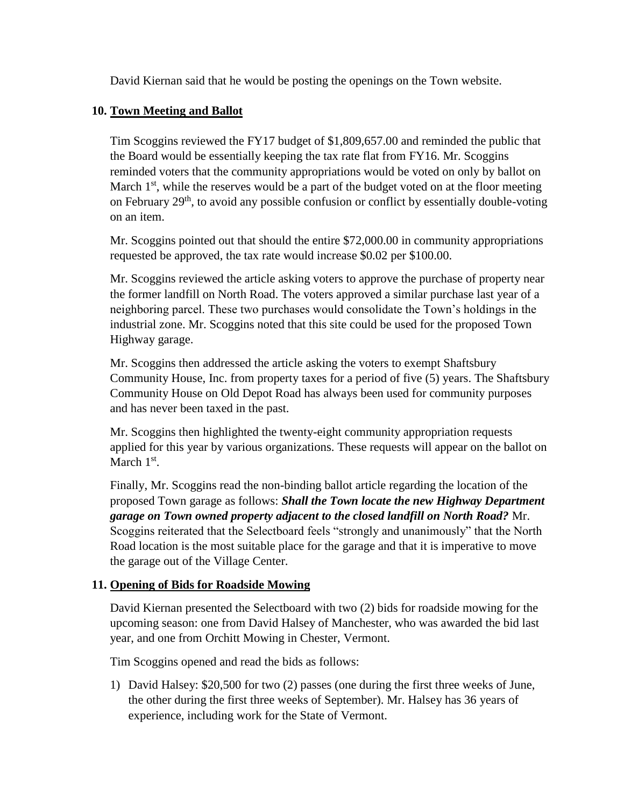David Kiernan said that he would be posting the openings on the Town website.

#### **10. Town Meeting and Ballot**

Tim Scoggins reviewed the FY17 budget of \$1,809,657.00 and reminded the public that the Board would be essentially keeping the tax rate flat from FY16. Mr. Scoggins reminded voters that the community appropriations would be voted on only by ballot on March  $1<sup>st</sup>$ , while the reserves would be a part of the budget voted on at the floor meeting on February  $29<sup>th</sup>$ , to avoid any possible confusion or conflict by essentially double-voting on an item.

Mr. Scoggins pointed out that should the entire \$72,000.00 in community appropriations requested be approved, the tax rate would increase \$0.02 per \$100.00.

Mr. Scoggins reviewed the article asking voters to approve the purchase of property near the former landfill on North Road. The voters approved a similar purchase last year of a neighboring parcel. These two purchases would consolidate the Town's holdings in the industrial zone. Mr. Scoggins noted that this site could be used for the proposed Town Highway garage.

Mr. Scoggins then addressed the article asking the voters to exempt Shaftsbury Community House, Inc. from property taxes for a period of five (5) years. The Shaftsbury Community House on Old Depot Road has always been used for community purposes and has never been taxed in the past.

Mr. Scoggins then highlighted the twenty-eight community appropriation requests applied for this year by various organizations. These requests will appear on the ballot on March  $1<sup>st</sup>$ .

Finally, Mr. Scoggins read the non-binding ballot article regarding the location of the proposed Town garage as follows: *Shall the Town locate the new Highway Department garage on Town owned property adjacent to the closed landfill on North Road?* Mr. Scoggins reiterated that the Selectboard feels "strongly and unanimously" that the North Road location is the most suitable place for the garage and that it is imperative to move the garage out of the Village Center.

## **11. Opening of Bids for Roadside Mowing**

David Kiernan presented the Selectboard with two (2) bids for roadside mowing for the upcoming season: one from David Halsey of Manchester, who was awarded the bid last year, and one from Orchitt Mowing in Chester, Vermont.

Tim Scoggins opened and read the bids as follows:

1) David Halsey: \$20,500 for two (2) passes (one during the first three weeks of June, the other during the first three weeks of September). Mr. Halsey has 36 years of experience, including work for the State of Vermont.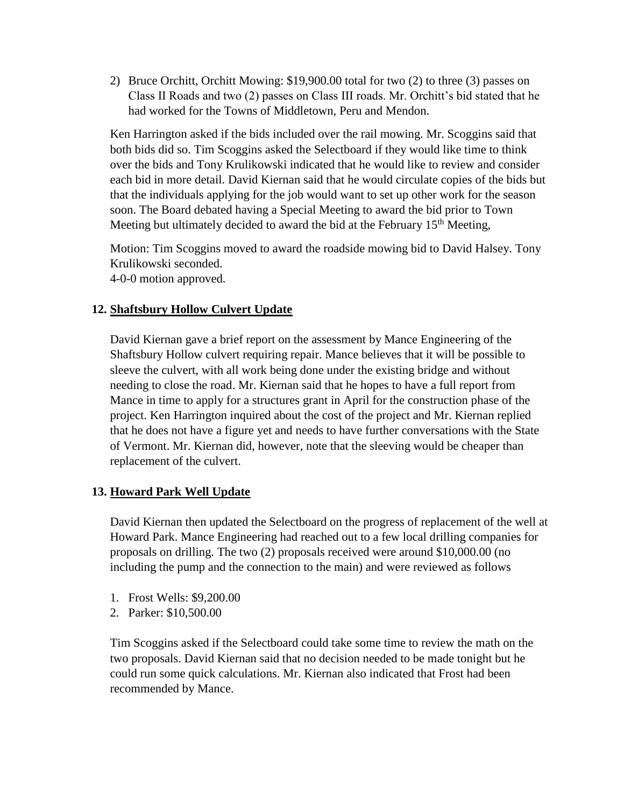2) Bruce Orchitt, Orchitt Mowing: \$19,900.00 total for two (2) to three (3) passes on Class II Roads and two (2) passes on Class III roads. Mr. Orchitt's bid stated that he had worked for the Towns of Middletown, Peru and Mendon.

Ken Harrington asked if the bids included over the rail mowing. Mr. Scoggins said that both bids did so. Tim Scoggins asked the Selectboard if they would like time to think over the bids and Tony Krulikowski indicated that he would like to review and consider each bid in more detail. David Kiernan said that he would circulate copies of the bids but that the individuals applying for the job would want to set up other work for the season soon. The Board debated having a Special Meeting to award the bid prior to Town Meeting but ultimately decided to award the bid at the February  $15<sup>th</sup>$  Meeting,

Motion: Tim Scoggins moved to award the roadside mowing bid to David Halsey. Tony Krulikowski seconded. 4-0-0 motion approved.

# **12. Shaftsbury Hollow Culvert Update**

David Kiernan gave a brief report on the assessment by Mance Engineering of the Shaftsbury Hollow culvert requiring repair. Mance believes that it will be possible to sleeve the culvert, with all work being done under the existing bridge and without needing to close the road. Mr. Kiernan said that he hopes to have a full report from Mance in time to apply for a structures grant in April for the construction phase of the project. Ken Harrington inquired about the cost of the project and Mr. Kiernan replied that he does not have a figure yet and needs to have further conversations with the State of Vermont. Mr. Kiernan did, however, note that the sleeving would be cheaper than replacement of the culvert.

## **13. Howard Park Well Update**

David Kiernan then updated the Selectboard on the progress of replacement of the well at Howard Park. Mance Engineering had reached out to a few local drilling companies for proposals on drilling. The two (2) proposals received were around \$10,000.00 (no including the pump and the connection to the main) and were reviewed as follows

- 1. Frost Wells: \$9,200.00
- 2. Parker: \$10,500.00

Tim Scoggins asked if the Selectboard could take some time to review the math on the two proposals. David Kiernan said that no decision needed to be made tonight but he could run some quick calculations. Mr. Kiernan also indicated that Frost had been recommended by Mance.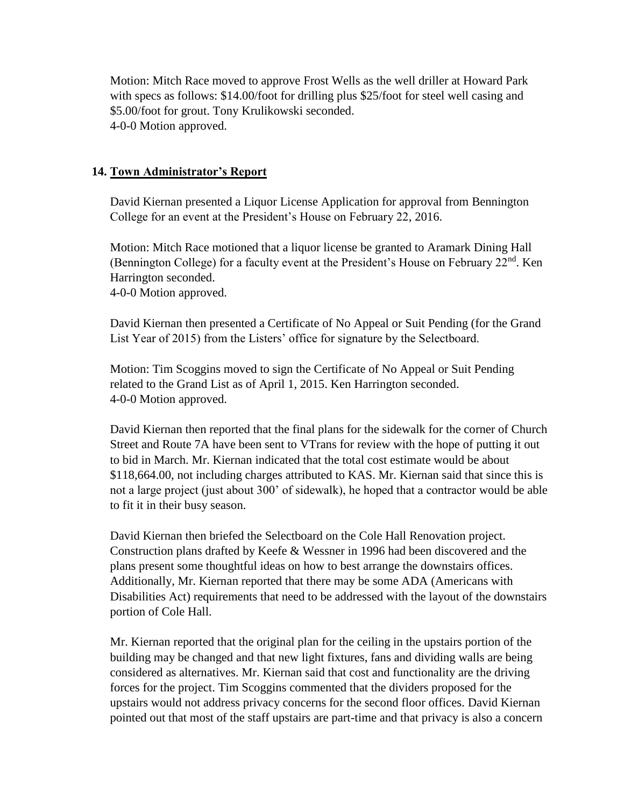Motion: Mitch Race moved to approve Frost Wells as the well driller at Howard Park with specs as follows: \$14.00/foot for drilling plus \$25/foot for steel well casing and \$5.00/foot for grout. Tony Krulikowski seconded. 4-0-0 Motion approved.

## **14. Town Administrator's Report**

David Kiernan presented a Liquor License Application for approval from Bennington College for an event at the President's House on February 22, 2016.

Motion: Mitch Race motioned that a liquor license be granted to Aramark Dining Hall (Bennington College) for a faculty event at the President's House on February  $22<sup>nd</sup>$ . Ken Harrington seconded.

4-0-0 Motion approved.

David Kiernan then presented a Certificate of No Appeal or Suit Pending (for the Grand List Year of 2015) from the Listers' office for signature by the Selectboard.

Motion: Tim Scoggins moved to sign the Certificate of No Appeal or Suit Pending related to the Grand List as of April 1, 2015. Ken Harrington seconded. 4-0-0 Motion approved.

David Kiernan then reported that the final plans for the sidewalk for the corner of Church Street and Route 7A have been sent to VTrans for review with the hope of putting it out to bid in March. Mr. Kiernan indicated that the total cost estimate would be about \$118,664.00, not including charges attributed to KAS. Mr. Kiernan said that since this is not a large project (just about 300' of sidewalk), he hoped that a contractor would be able to fit it in their busy season.

David Kiernan then briefed the Selectboard on the Cole Hall Renovation project. Construction plans drafted by Keefe & Wessner in 1996 had been discovered and the plans present some thoughtful ideas on how to best arrange the downstairs offices. Additionally, Mr. Kiernan reported that there may be some ADA (Americans with Disabilities Act) requirements that need to be addressed with the layout of the downstairs portion of Cole Hall.

Mr. Kiernan reported that the original plan for the ceiling in the upstairs portion of the building may be changed and that new light fixtures, fans and dividing walls are being considered as alternatives. Mr. Kiernan said that cost and functionality are the driving forces for the project. Tim Scoggins commented that the dividers proposed for the upstairs would not address privacy concerns for the second floor offices. David Kiernan pointed out that most of the staff upstairs are part-time and that privacy is also a concern